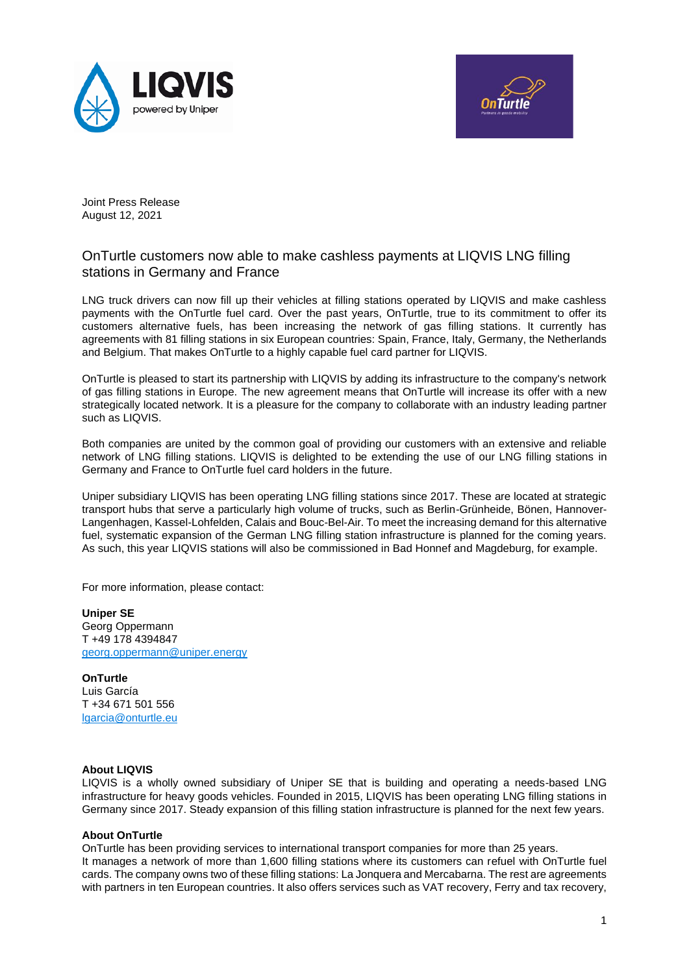



Joint Press Release August 12, 2021

## OnTurtle customers now able to make cashless payments at LIQVIS LNG filling stations in Germany and France

LNG truck drivers can now fill up their vehicles at filling stations operated by LIQVIS and make cashless payments with the OnTurtle fuel card. Over the past years, OnTurtle, true to its commitment to offer its customers alternative fuels, has been increasing the network of gas filling stations. It currently has agreements with 81 filling stations in six European countries: Spain, France, Italy, Germany, the Netherlands and Belgium. That makes OnTurtle to a highly capable fuel card partner for LIQVIS.

OnTurtle is pleased to start its partnership with LIQVIS by adding its infrastructure to the company's network of gas filling stations in Europe. The new agreement means that OnTurtle will increase its offer with a new strategically located network. It is a pleasure for the company to collaborate with an industry leading partner such as LIQVIS.

Both companies are united by the common goal of providing our customers with an extensive and reliable network of LNG filling stations. LIQVIS is delighted to be extending the use of our LNG filling stations in Germany and France to OnTurtle fuel card holders in the future.

Uniper subsidiary LIQVIS has been operating LNG filling stations since 2017. These are located at strategic transport hubs that serve a particularly high volume of trucks, such as Berlin-Grünheide, Bönen, Hannover-Langenhagen, Kassel-Lohfelden, Calais and Bouc-Bel-Air. To meet the increasing demand for this alternative fuel, systematic expansion of the German LNG filling station infrastructure is planned for the coming years. As such, this year LIQVIS stations will also be commissioned in Bad Honnef and Magdeburg, for example.

For more information, please contact:

**Uniper SE** Georg Oppermann T +49 178 4394847 [georg.oppermann@uniper.energy](mailto:georg.oppermann@uniper.energy)

**OnTurtle** Luis García T +34 671 501 556 lgarcia@onturtle.eu

## **About LIQVIS**

LIQVIS is a wholly owned subsidiary of Uniper SE that is building and operating a needs-based LNG infrastructure for heavy goods vehicles. Founded in 2015, LIQVIS has been operating LNG filling stations in Germany since 2017. Steady expansion of this filling station infrastructure is planned for the next few years.

## **About OnTurtle**

OnTurtle has been providing services to international transport companies for more than 25 years. It manages a network of more than 1,600 filling stations where its customers can refuel with OnTurtle fuel cards. The company owns two of these filling stations: La Jonquera and Mercabarna. The rest are agreements with partners in ten European countries. It also offers services such as VAT recovery, Ferry and tax recovery,